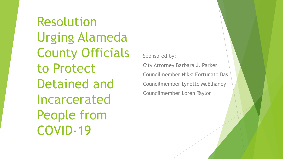Resolution Urging Alameda County Officials to Protect Detained and Incarcerated People from COVID-19

Sponsored by:

City Attorney Barbara J. Parker Councilmember Nikki Fortunato Bas Councilmember Lynette McElhaney Councilmember Loren Taylor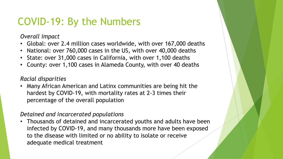# COVID-19: By the Numbers

*Overall impact*

- Global: over 2.4 million cases worldwide, with over 167,000 deaths
- National: over 760,000 cases in the US, with over 40,000 deaths
- State: over 31,000 cases in California, with over 1,100 deaths
- County: over 1,100 cases in Alameda County, with over 40 deaths

#### *Racial disparities*

• Many African American and Latinx communities are being hit the hardest by COVID-19, with mortality rates at 2-3 times their percentage of the overall population

#### *Detained and incarcerated populations*

• Thousands of detained and incarcerated youths and adults have been infected by COVID-19, and many thousands more have been exposed to the disease with limited or no ability to isolate or receive adequate medical treatment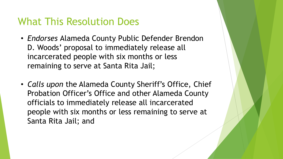### What This Resolution Does

- *Endorses* Alameda County Public Defender Brendon D. Woods' proposal to immediately release all incarcerated people with six months or less remaining to serve at Santa Rita Jail;
- *Calls upon* the Alameda County Sheriff's Office, Chief Probation Officer's Office and other Alameda County officials to immediately release all incarcerated people with six months or less remaining to serve at Santa Rita Jail; and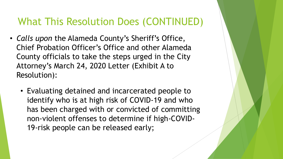### What This Resolution Does (CONTINUED)

- *Calls upon* the Alameda County's Sheriff's Office, Chief Probation Officer's Office and other Alameda County officials to take the steps urged in the City Attorney's March 24, 2020 Letter (Exhibit A to Resolution):
	- Evaluating detained and incarcerated people to identify who is at high risk of COVID-19 and who has been charged with or convicted of committing non-violent offenses to determine if high-COVID-19-risk people can be released early;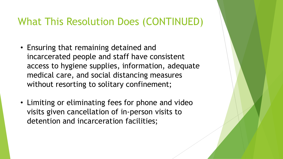### What This Resolution Does (CONTINUED)

- Ensuring that remaining detained and incarcerated people and staff have consistent access to hygiene supplies, information, adequate medical care, and social distancing measures without resorting to solitary confinement;
- Limiting or eliminating fees for phone and video visits given cancellation of in-person visits to detention and incarceration facilities;